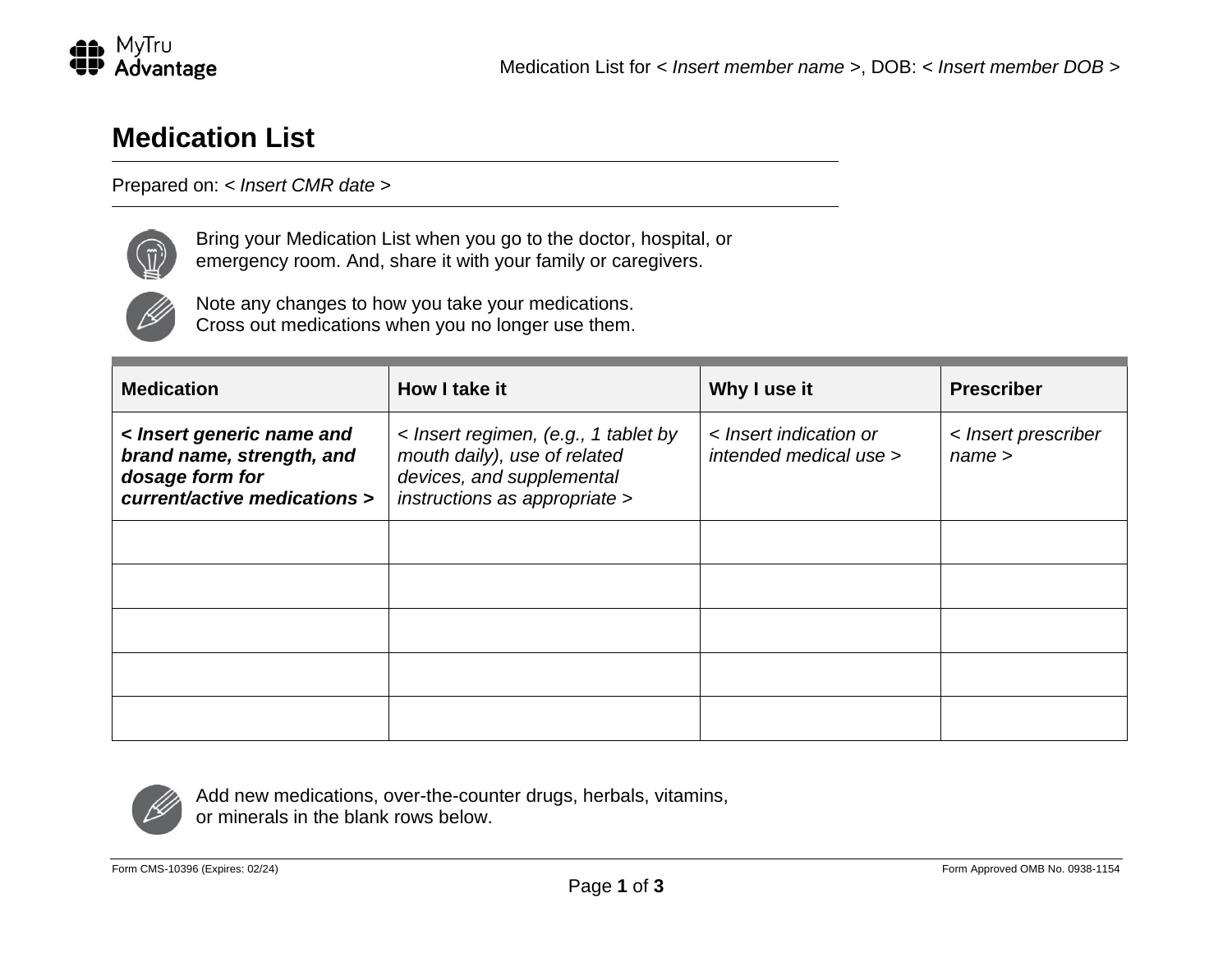

# **Medication List**

## Prepared on: *< Insert CMR date >*



Bring your Medication List when you go to the doctor, hospital, or emergency room. And, share it with your family or caregivers.



Note any changes to how you take your medications. Cross out medications when you no longer use them.

| <b>Medication</b>                                                                                         | How I take it                                                                                                                      | Why I use it                                     | <b>Prescriber</b>             |
|-----------------------------------------------------------------------------------------------------------|------------------------------------------------------------------------------------------------------------------------------------|--------------------------------------------------|-------------------------------|
| < Insert generic name and<br>brand name, strength, and<br>dosage form for<br>current/active medications > | < Insert regimen, (e.g., 1 tablet by<br>mouth daily), use of related<br>devices, and supplemental<br>instructions as appropriate > | < Insert indication or<br>intended medical use > | < Insert prescriber<br>name > |
|                                                                                                           |                                                                                                                                    |                                                  |                               |
|                                                                                                           |                                                                                                                                    |                                                  |                               |
|                                                                                                           |                                                                                                                                    |                                                  |                               |
|                                                                                                           |                                                                                                                                    |                                                  |                               |
|                                                                                                           |                                                                                                                                    |                                                  |                               |



Add new medications, over-the-counter drugs, herbals, vitamins, or minerals in the blank rows below.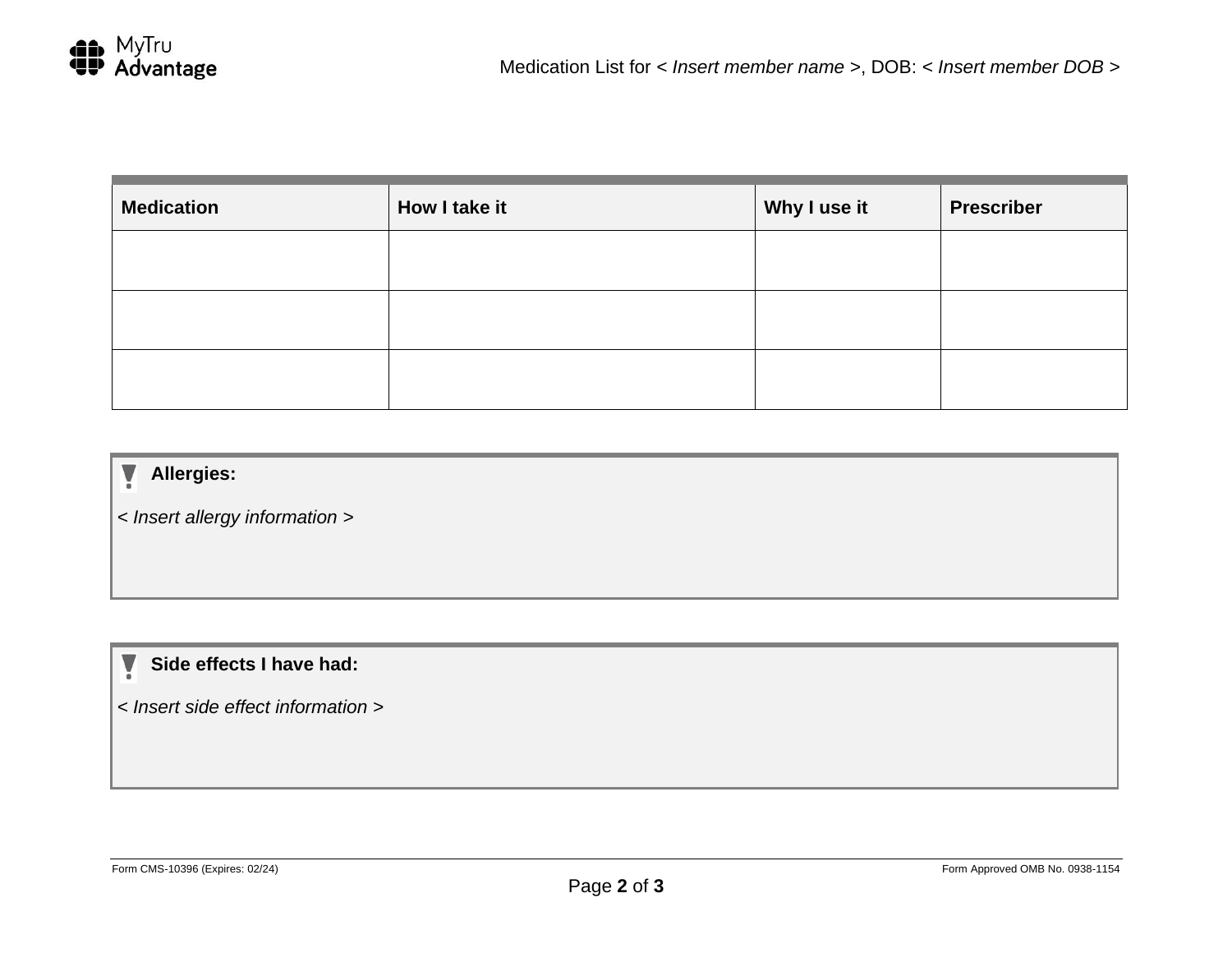| <b>Medication</b> | How I take it | Why I use it | <b>Prescriber</b> |
|-------------------|---------------|--------------|-------------------|
|                   |               |              |                   |
|                   |               |              |                   |
|                   |               |              |                   |

#### V **Allergies:**

*< Insert allergy information >*

#### **Side effects I have had:** V

*< Insert side effect information >*